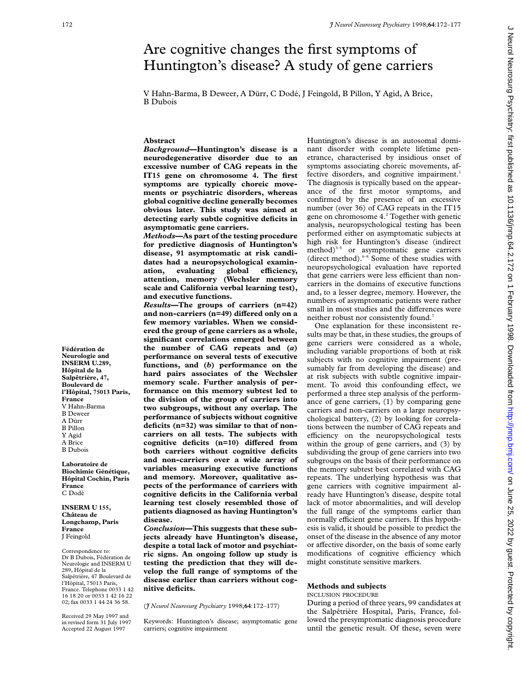# Are cognitive changes the first symptoms of Huntington's disease? A study of gene carriers

V Hahn-Barma, B Deweer, A Dürr, C Dodé, J Feingold, B Pillon, Y Agid, A Brice, B Dubois

## **Abstract**

*Background***—Huntington's disease is a neurodegenerative disorder due to an excessive number of CAG repeats in the IT15 gene on chromosome 4. The first symptoms are typically choreic movements or psychiatric disorders, whereas global cognitive decline generally becomes obvious later. This study was aimed at detecting early subtle cognitive deficits in asymptomatic gene carriers.**

*Methods***—As part of the testing procedure for predictive diagnosis of Huntington's disease, 91 asymptomatic at risk candidates had a neuropsychological examin**ation, evaluating global efficiency, **attention, memory (Wechsler memory scale and California verbal learning test), and executive functions.**

*Results***—The groups of carriers (n=42)** and non-carriers (n=49) differed only on a **few memory variables. When we considered the group of gene carriers as a whole, significant correlations emerged between the number of CAG repeats and (***a***) performance on several tests of executive functions, and (***b***) performance on the hard pairs associates of the Wechsler memory scale. Further analysis of performance on this memory subtest led to the division of the group of carriers into two subgroups, without any overlap. The performance of subjects without cognitive deficits (n=32) was similar to that of noncarriers on all tests. The subjects with** cognitive deficits (n=10) differed from **both carriers without cognitive deficits and non-carriers over a wide array of variables measuring executive functions and memory. Moreover, qualitative aspects of the performance of carriers with cognitive deficits in the California verbal learning test closely resembled those of patients diagnosed as having Huntington's disease.**

*Conclusion***—This suggests that these subjects already have Huntington's disease, despite a total lack of motor and psychiatric signs. An ongoing follow up study is testing the prediction that they will develop the full range of symptoms of the disease earlier than carriers without cognitive deficits.**

(*J Neurol Neurosurg Psychiatry* 1998;**64**:172–177)

Keywords: Huntington's disease; asymptomatic gene carriers; cognitive impairment

Huntington's disease is an autosomal dominant disorder with complete lifetime penetrance, characterised by insidious onset of symptoms associating choreic movements, affective disorders, and cognitive impairment.<sup>1</sup> The diagnosis is typically based on the appearance of the first motor symptoms, and confirmed by the presence of an excessive number (over 36) of CAG repeats in the IT15 gene on chromosome 4.<sup>2</sup> Together with genetic analysis, neuropsychological testing has been performed either on asymptomatic subjects at high risk for Huntington's disease (indirect  $method$ <sup>3-5</sup> or asymptomatic gene carriers (direct method). $6-8$  Some of these studies with neuropsychological evaluation have reported that gene carriers were less efficient than noncarriers in the domains of executive functions and, to a lesser degree, memory. However, the numbers of asymptomatic patients were rather small in most studies and the differences were neither robust nor consistently found.<sup>7</sup>

One explanation for these inconsistent results may be that, in these studies, the groups of gene carriers were considered as a whole, including variable proportions of both at risk subjects with no cognitive impairment (presumably far from developing the disease) and at risk subjects with subtle cognitive impairment. To avoid this confounding effect, we performed a three step analysis of the performance of gene carriers, (1) by comparing gene carriers and non-carriers on a large neuropsychological battery, (2) by looking for correlations between the number of CAG repeats and efficiency on the neuropsychological tests within the group of gene carriers, and (3) by subdividing the group of gene carriers into two subgroups on the basis of their performance on the memory subtest best correlated with CAG repeats. The underlying hypothesis was that gene carriers with cognitive impairment already have Huntington's disease, despite total lack of motor abnormalities, and will develop the full range of the symptoms earlier than normally efficient gene carriers. If this hypothesis is valid, it should be possible to predict the onset of the disease in the absence of any motor or affective disorder, on the basis of some early modifications of cognitive efficiency which might constitute sensitive markers.

#### **Methods and subjects**

#### INCLUSION PROCEDURE

During a period of three years, 99 candidates at the Salpêtrière Hospital, Paris, France, followed the presymptomatic diagnosis procedure until the genetic result. Of these, seven were

**Fédération de Neurologie and INSERM U.289, Hôpital de la Salpêtrière, 47, Boulevard de l'Hôpital, 75013 Paris, France** V Hahn-Barma B Deweer A Dürr B Pillon Y Agid A Brice B Dubois **Laboratoire de**

**Biochimie Génétique, Hôpital Cochin, Paris France** C Dodé

**INSERM U 155, Château de Longchamp, Paris France** J Feingold

Correspondence to: Dr B Dubois, Fédération de Neurologie and INSERM U 289, Hôpital de la Salpêtrière, 47 Boulevard de l'Hôpital, 75013 Paris, France. Telephone 0033 1 42 16 18 20 or 0033 1 42 16 22 02; fax 0033 1 44 24 36 58.

Received 29 May 1997 and in revised form 31 July 1997 Accepted 22 August 1997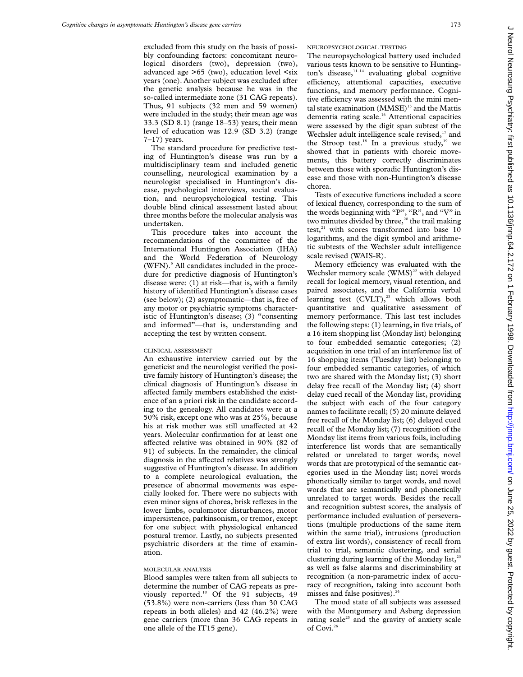excluded from this study on the basis of possibly confounding factors: concomitant neurological disorders (two), depression (two), advanced age >65 (two), education level <six years (one). Another subject was excluded after the genetic analysis because he was in the so-called intermediate zone (31 CAG repeats). Thus, 91 subjects (32 men and 59 women) were included in the study; their mean age was 33.3 (SD 8.1) (range 18–53) years; their mean level of education was 12.9 (SD 3.2) (range  $7-17$ ) years.

The standard procedure for predictive testing of Huntington's disease was run by a multidisciplinary team and included genetic counselling, neurological examination by a neurologist specialised in Huntington's disease, psychological interviews, social evaluation, and neuropsychological testing. This double blind clinical assessment lasted about three months before the molecular analysis was undertaken.

This procedure takes into account the recommendations of the committee of the International Huntington Association (IHA) and the World Federation of Neurology (WFN).<sup>9</sup> All candidates included in the procedure for predictive diagnosis of Huntington's disease were: (1) at risk—that is, with a family history of identified Huntington's disease cases (see below); (2) asymptomatic—that is, free of any motor or psychiatric symptoms characteristic of Huntington's disease; (3) "consenting and informed"—that is, understanding and accepting the test by written consent.

### CLINICAL ASSESSMENT

An exhaustive interview carried out by the geneticist and the neurologist verified the positive family history of Huntington's disease; the clinical diagnosis of Huntington's disease in affected family members established the existence of an a priori risk in the candidate according to the genealogy. All candidates were at a 50% risk, except one who was at 25%, because his at risk mother was still unaffected at 42 years. Molecular confirmation for at least one affected relative was obtained in 90% (82 of 91) of subjects. In the remainder, the clinical diagnosis in the affected relatives was strongly suggestive of Huntington's disease. In addition to a complete neurological evaluation, the presence of abnormal movements was especially looked for. There were no subjects with even minor signs of chorea, brisk reflexes in the lower limbs, oculomotor disturbances, motor impersistence, parkinsonism, or tremor, except for one subject with physiological enhanced postural tremor. Lastly, no subjects presented psychiatric disorders at the time of examination.

#### MOLECULAR ANALYSIS

Blood samples were taken from all subjects to determine the number of CAG repeats as previously reported.<sup>10</sup> Of the 91 subjects, 49 (53.8%) were non-carriers (less than 30 CAG repeats in both alleles) and 42 (46.2%) were gene carriers (more than 36 CAG repeats in one allele of the IT15 gene).

NEUROPSYCHOLOGICAL TESTING

The neuropsychological battery used included various tests known to be sensitive to Huntington's disease,<sup>11-14</sup> evaluating global cognitive efficiency, attentional capacities, executive functions, and memory performance. Cognitive efficiency was assessed with the mini mental state examination (MMSE)<sup>15</sup> and the Mattis dementia rating scale.16 Attentional capacities were assessed by the digit span subtest of the Wechsler adult intelligence scale revised,<sup>17</sup> and the Stroop test.<sup>18</sup> In a previous study,<sup>19</sup> we showed that in patients with choreic movements, this battery correctly discriminates between those with sporadic Huntington's disease and those with non-Huntington's disease chorea.

Tests of executive functions included a score of lexical fluency, corresponding to the sum of the words beginning with "P", "R", and "V" in two minutes divided by three, $20$  the trail making test, $21$  with scores transformed into base 10 logarithms, and the digit symbol and arithmetic subtests of the Wechsler adult intelligence scale revised (WAIS-R).

Memory efficiency was evaluated with the Wechsler memory scale  $(WMS)^{22}$  with delayed recall for logical memory, visual retention, and paired associates, and the California verbal learning test  $(CVLT)$ ,<sup>23</sup> which allows both quantitative and qualitative assessment of memory performance. This last test includes the following steps: (1) learning, in five trials, of a 16 item shopping list (Monday list) belonging to four embedded semantic categories; (2) acquisition in one trial of an interference list of 16 shopping items (Tuesday list) belonging to four embedded semantic categories, of which two are shared with the Monday list; (3) short delay free recall of the Monday list; (4) short delay cued recall of the Monday list, providing the subject with each of the four category names to facilitate recall; (5) 20 minute delayed free recall of the Monday list; (6) delayed cued recall of the Monday list; (7) recognition of the Monday list items from various foils, including interference list words that are semantically related or unrelated to target words; novel words that are prototypical of the semantic categories used in the Monday list; novel words phonetically similar to target words, and novel words that are semantically and phonetically unrelated to target words. Besides the recall and recognition subtest scores, the analysis of performance included evaluation of perseverations (multiple productions of the same item within the same trial), intrusions (production of extra list words), consistency of recall from trial to trial, semantic clustering, and serial clustering during learning of the Monday list,<sup>23</sup> as well as false alarms and discriminability at recognition (a non-parametric index of accuracy of recognition, taking into account both misses and false positives). $24$ 

The mood state of all subjects was assessed with the Montgomery and Asberg depression rating scale<sup>25</sup> and the gravity of anxiety scale of Covi.<sup>26</sup>

 $\subset$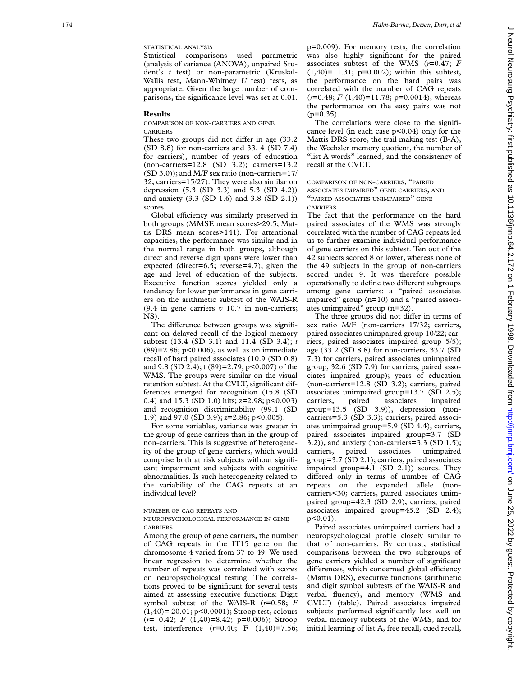Statistical comparisons used parametric (analysis of variance (ANOVA), unpaired Student's *t* test) or non-parametric (Kruskal-Wallis test, Mann-Whitney *U* test) tests, as appropriate. Given the large number of comparisons, the significance level was set at 0.01.

#### **Results**

COMPARISON OF NON -CARRIERS AND GENE CARRIERS

These two groups did not differ in age (33.2) (SD 8.8) for non-carriers and 33. 4 (SD 7.4) for carriers), number of years of education (non-carriers=12.8 (SD 3.2); carriers=13.2 (SD 3.0)); and M/F sex ratio (non-carriers=17/ 32; carriers=15/27). They were also similar on depression (5.3 (SD 3.3) and 5.3 (SD 4.2)) and anxiety (3.3 (SD 1.6) and 3.8 (SD 2.1)) scores.

Global efficiency was similarly preserved in both groups (MMSE mean scores>29.5; Mattis DRS mean scores>141). For attentional capacities, the performance was similar and in the normal range in both groups, although direct and reverse digit spans were lower than expected (direct=6.5; reverse=4.7), given the age and level of education of the subjects. Executive function scores yielded only a tendency for lower performance in gene carriers on the arithmetic subtest of the WAIS-R (9.4 in gene carriers *v* 10.7 in non-carriers; NS).

The difference between groups was significant on delayed recall of the logical memory subtest (13.4 (SD 3.1) and 11.4 (SD 3.4); *t*  $(89)=2.86$ ; p<0.006), as well as on immediate recall of hard paired associates (10.9 (SD 0.8) and 9.8 (SD 2.4); t (89)=2.79; p<0.007) of the WMS. The groups were similar on the visual retention subtest. At the CVLT, significant differences emerged for recognition (15.8 (SD 0.4) and 15.3 (SD 1.0) hits; z=2.98; p<0.003) and recognition discriminability (99.1 (SD 1.9) and 97.0 (SD 3.9); z=2.86; p<0.005).

For some variables, variance was greater in the group of gene carriers than in the group of non-carriers. This is suggestive of heterogeneity of the group of gene carriers, which would comprise both at risk subjects without significant impairment and subjects with cognitive abnormalities. Is such heterogeneity related to the variability of the CAG repeats at an individual level?

#### NUMBER OF CAG REPEATS AND

NEUROPSYCHOLOGICAL PERFORMANCE IN GENE CARRIERS

Among the group of gene carriers, the number of CAG repeats in the IT15 gene on the chromosome 4 varied from 37 to 49. We used linear regression to determine whether the number of repeats was correlated with scores on neuropsychological testing. The correlations proved to be significant for several tests aimed at assessing executive functions: Digit symbol subtest of the WAIS-R ( *r*=0.58; *F* (1,40)= 20.01; p<0.0001); Stroop test, colours (*r*= 0.42; *F* (1,40)=8.42; p=0.006); Stroop test, interference ( *r*=0.40; F (1,40)=7.56;

p=0.009). For memory tests, the correlation was also highly significant for the paired associates subtest of the WMS ( *r*=0.47; *F*  $(1,40)=11.31$ ; p=0.002); within this subtest, the performance on the hard pairs was correlated with the number of CAG repeats (*r*=0.48; *F* (1,40)=11.78; p=0.0014), whereas the performance on the easy pairs was not  $(p=0.35)$ .

The correlations were close to the significance level (in each case p<0.04) only for the Mattis DRS score, the trail making test (B-A), the Wechsler memory quotient, the number of "list A words" learned, and the consistency of recall at the CVLT.

COMPARISON OF NON -CARRIERS, "PAIRED ASSOCIATES IMPAIRED " GENE CARRIERS , AND "PAIRED ASSOCIATES UNIMPAIRED " GENE CARRIERS

The fact that the performance on the hard paired associates of the WMS was strongly correlated with the number of CAG repeats led us to further examine individual performance of gene carriers on this subtest. Ten out of the 42 subjects scored 8 or lower, whereas none of the 49 subjects in the group of non-carriers scored under 9. It was therefore possible operationally to define two different subgroups among gene carriers: a "paired associates impaired" group (n=10) and a "paired associates unimpaired" group (n=32).

The three groups did not differ in terms of sex ratio M/F (non-carriers 17/32; carriers, paired associates unimpaired group 10/22; carriers, paired associates impaired group 5/5); age (33.2 (SD 8.8) for non-carriers, 33.7 (SD 7.3) for carriers, paired associates unimpaired group, 32.6 (SD 7.9) for carriers, paired associates impaired group); years of education (non-carriers=12.8 (SD 3.2); carriers, paired associates unimpaired group=13.7 (SD 2.5); carriers, paired associates impaired  $group=13.5$  (SD 3.9)), depression (noncarriers=5.3 (SD 3.3); carriers, paired associates unimpaired group=5.9 (SD 4.4), carriers, paired associates impaired group=3.7 (SD 3.2)), and anxiety (non-carriers=3.3 (SD 1.5); carriers, paired associates unimpaired group=3.7 (SD 2.1); carriers, paired associates impaired group=4.1 (SD 2.1)) scores. They differed only in terms of number of CAG repeats on the expanded allele (noncarriers<30; carriers, paired associates unimpaired group=42.3 (SD 2.9), carriers, paired associates impaired group=45.2 (SD 2.4); p<0.01).

Paired associates unimpaired carriers had a neuropsychological profile closely similar to that of non-carriers. By contrast, statistical comparisons between the two subgroups of gene carriers yielded a number of significant differences, which concerned global efficiency (Mattis DRS), executive functions (arithmetic and digit symbol subtests of the WAIS-R and verbal fluency), and memory (WMS and CVLT) (table). Paired associates impaired subjects performed significantly less well on verbal memory subtests of the WMS, and for initial learning of list A, free recall, cued recall,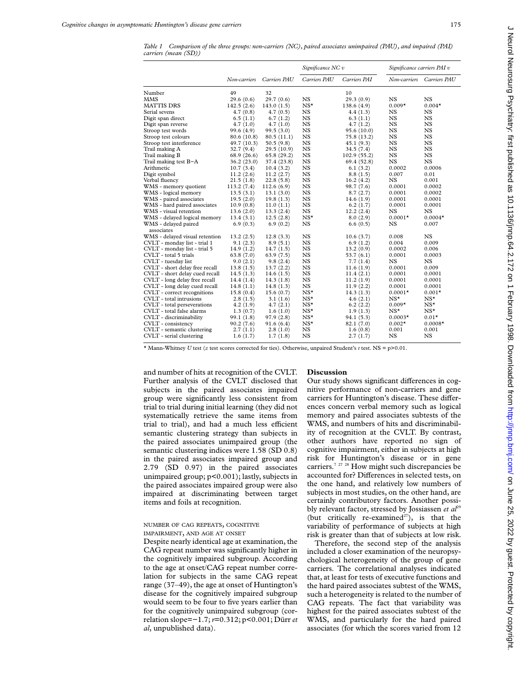*Table 1 Comparison of the three groups: non-carriers (NC), paired associates unimpaired (PAU), and impaired (PAI) carriers (mean (SD))*

| Carriers PAU<br>Carriers PAI<br>Carriers PAU<br>Non-carriers<br>Carriers PAU<br>Non-carriers<br>32<br>49<br>10<br>Number<br><b>NS</b><br>29.3(0.9)<br>$_{NS}$<br>$_{NS}$<br>MMS<br>29.6(0.6)<br>29.7(0.6)<br>$NS^{\star}$<br>$0.009*$<br>MATTIS DRS<br>142.5(2.6)<br>143.0(1.5)<br>138.6 (4.9)<br>$0.004*$<br>$_{NS}$<br>Serial sevens<br>NS<br>NS<br>4.7(0.8)<br>4.7(0.5)<br>4.4(1.3)<br><b>NS</b><br><b>NS</b><br><b>NS</b><br>Digit span direct<br>6.5(1.1)<br>6.7(1.2)<br>6.3(1.1)<br><b>NS</b><br><b>NS</b><br>Digit span reverse<br>NS<br>4.7(1.0)<br>4.7(1.0)<br>4.7(1.2)<br><b>NS</b><br><b>NS</b><br>$_{NS}$<br>Stroop test words<br>99.6 (4.9)<br>99.5(3.0)<br>95.6 (10.0)<br><b>NS</b><br><b>NS</b><br>Stroop test colours<br><b>NS</b><br>80.6 (10.8)<br>80.5(11.1)<br>75.8 (13.2)<br><b>NS</b><br>Stroop test interference<br>NS<br>NS<br>49.7 (10.3)<br>50.5(9.8)<br>45.1(9.3)<br><b>NS</b><br><b>NS</b><br>Trail making A<br>29.5 (10.9)<br>34.5(7.4)<br><b>NS</b><br>32.7(9.4)<br><b>NS</b><br><b>NS</b><br><b>NS</b><br>Trail making B<br>68.9(26.6)<br>65.8(29.2)<br>102.9(55.2)<br>NS<br>NS<br>NS<br>Trail making test B-A<br>36.2(23.0)<br>37.4 (23.8)<br>69.4 (52.8)<br><b>NS</b><br>0.0002<br>Arithmetic<br>0.0006<br>10.7(3.4)<br>10.4(3.2)<br>6.1(3.2)<br><b>NS</b><br>Digit symbol<br>11.2(2.6)<br>11.2(2.7)<br>8.8(1.5)<br>0.007<br>0.01<br><b>NS</b><br>Verbal fluency<br><b>NS</b><br>21.5(1.8)<br>22.8(5.8)<br>16.2(4.2)<br>0.001<br><b>NS</b><br>WMS - memory quotient<br>113.2(7.4)<br>0.0001<br>0.0002<br>112.6(6.9)<br>98.7 (7.6)<br>$_{NS}$<br>WMS - logical memory<br>13.5(3.1)<br>8.7(2.7)<br>0.0001<br>0.0002<br>13.1(3.0)<br><b>NS</b><br>0.0001<br>0.0001<br>WMS - paired associates<br>19.5(2.0)<br>19.8(1.3)<br>14.6(1.9)<br>$_{NS}$<br>WMS - hard paired associates<br>0.0001<br>0.0001<br>10.9(0.8)<br>11.0(1.1)<br>6.2(1.7)<br>$_{NS}$<br>WMS - visual retention<br>13.6(2.0)<br>13.3(2.4)<br>12.2(2.4)<br>NS<br>NS<br>$NS^{\star}$<br>$0.0004*$<br>WMS - delayed logical memory<br>13.4(3.1)<br>12.5(2.8)<br>8.0(2.9)<br>$0.0001*$<br><b>NS</b><br>6.9(0.3)<br>6.6(0.5)<br>NS<br>0.007<br>WMS - delayed paired<br>6.9(0.2)<br>associates<br><b>NS</b><br>WMS - delayed visual retention<br>13.2(2.5)<br>12.8(3.3)<br>NS<br>10.6(3.7)<br>0.008<br>CVLT - monday list - trial 1<br><b>NS</b><br>9.1(2.3)<br>8.9(5.1)<br>6.9(1.2)<br>0.004<br>0.009<br><b>NS</b><br>CVLT - monday list - trial 5<br>14.9(1.2)<br>14.7(1.5)<br>13.2(0.9)<br>0.0002<br>0.006<br><b>NS</b><br>CVLT - total 5 trials<br>63.8(7.0)<br>53.7(6.1)<br>0.0001<br>0.0003<br>63.9(7.5)<br><b>NS</b><br><b>NS</b><br>$_{NS}$<br>CVLT - tuesday list<br>9.0(2.1)<br>9.8(2.4)<br>7.7(1.4)<br>$_{NS}$<br>CVLT - short delay free recall<br>0.0001<br>0.009<br>13.8(1.5)<br>13.7(2.2)<br>11.6(1.9)<br>$_{NS}$<br>CVLT - short delay cued recall<br>0.0001<br>0.0001<br>14.5(1.3)<br>14.6(1.5)<br>11.4(2.1)<br>$_{NS}$<br>CVLT - long delay free recall<br>0.0001<br>0.0001<br>14.4(1.4)<br>14.3(1.8)<br>11.2(1.9)<br>$_{NS}$<br>CVLT - long delay cued recall<br>14.8(1.1)<br>11.9(2.2)<br>0.0001<br>0.0001<br>14.8(1.3)<br>$NS^{\star}$<br>CVLT - correct recognitions<br>15.8(0.4)<br>$0.0001*$<br>$0.001*$<br>15.6(0.7)<br>14.3(1.3)<br>$NS^{\star}$<br>CVLT - total intrusions<br>$NS^{\star}$<br>$NS^{\star}$<br>2.8(1.5)<br>3.1(1.6)<br>4.6(2.1)<br>$NS^{\star}$<br>$NS^{\star}$<br>CVLT - total perseverations<br>4.2(1.9)<br>4.7(2.1)<br>6.2(2.2)<br>$0.009*$<br>$NS^{\star}$<br>CVLT - total false alarms<br>$NS^{\star}$<br>$NS^{\star}$<br>1.3(0.7)<br>1.6(1.0)<br>1.9(1.3)<br>$NS^{\star}$<br>CVLT - discriminability<br>$0.01*$<br>99.1 (1.8)<br>97.9(2.8)<br>94.1 (5.3)<br>$0.0003*$<br>$NS^{\star}$<br>CVLT - consistency<br>90.2(7.6)<br>$0.002*$<br>$0.0008*$<br>91.6(6.4)<br>82.1 (7.0)<br>CVLT - semantic clustering<br>$_{NS}$<br>0.001<br>2.7(1.1)<br>2.8(1.0)<br>0.001<br>1.6(0.8)<br><b>NS</b><br><b>NS</b><br>CVLT - serial clustering<br>NS<br>1.6(1.7)<br>1.7(1.8)<br>2.7(1.7) |  |  | Significance NC v |  | Significance carriers PAI v |  |
|--------------------------------------------------------------------------------------------------------------------------------------------------------------------------------------------------------------------------------------------------------------------------------------------------------------------------------------------------------------------------------------------------------------------------------------------------------------------------------------------------------------------------------------------------------------------------------------------------------------------------------------------------------------------------------------------------------------------------------------------------------------------------------------------------------------------------------------------------------------------------------------------------------------------------------------------------------------------------------------------------------------------------------------------------------------------------------------------------------------------------------------------------------------------------------------------------------------------------------------------------------------------------------------------------------------------------------------------------------------------------------------------------------------------------------------------------------------------------------------------------------------------------------------------------------------------------------------------------------------------------------------------------------------------------------------------------------------------------------------------------------------------------------------------------------------------------------------------------------------------------------------------------------------------------------------------------------------------------------------------------------------------------------------------------------------------------------------------------------------------------------------------------------------------------------------------------------------------------------------------------------------------------------------------------------------------------------------------------------------------------------------------------------------------------------------------------------------------------------------------------------------------------------------------------------------------------------------------------------------------------------------------------------------------------------------------------------------------------------------------------------------------------------------------------------------------------------------------------------------------------------------------------------------------------------------------------------------------------------------------------------------------------------------------------------------------------------------------------------------------------------------------------------------------------------------------------------------------------------------------------------------------------------------------------------------------------------------------------------------------------------------------------------------------------------------------------------------------------------------------------------------------------------------------------------------------------------------------------------------------------------------------------------------------------------------------------------------------------------------------------------------------------------------------------------------------------------------------------------------------------------------------------------------------------------------------------------------------------------------------------------------------|--|--|-------------------|--|-----------------------------|--|
|                                                                                                                                                                                                                                                                                                                                                                                                                                                                                                                                                                                                                                                                                                                                                                                                                                                                                                                                                                                                                                                                                                                                                                                                                                                                                                                                                                                                                                                                                                                                                                                                                                                                                                                                                                                                                                                                                                                                                                                                                                                                                                                                                                                                                                                                                                                                                                                                                                                                                                                                                                                                                                                                                                                                                                                                                                                                                                                                                                                                                                                                                                                                                                                                                                                                                                                                                                                                                                                                                                                                                                                                                                                                                                                                                                                                                                                                                                                                                                                                                    |  |  |                   |  |                             |  |
|                                                                                                                                                                                                                                                                                                                                                                                                                                                                                                                                                                                                                                                                                                                                                                                                                                                                                                                                                                                                                                                                                                                                                                                                                                                                                                                                                                                                                                                                                                                                                                                                                                                                                                                                                                                                                                                                                                                                                                                                                                                                                                                                                                                                                                                                                                                                                                                                                                                                                                                                                                                                                                                                                                                                                                                                                                                                                                                                                                                                                                                                                                                                                                                                                                                                                                                                                                                                                                                                                                                                                                                                                                                                                                                                                                                                                                                                                                                                                                                                                    |  |  |                   |  |                             |  |
|                                                                                                                                                                                                                                                                                                                                                                                                                                                                                                                                                                                                                                                                                                                                                                                                                                                                                                                                                                                                                                                                                                                                                                                                                                                                                                                                                                                                                                                                                                                                                                                                                                                                                                                                                                                                                                                                                                                                                                                                                                                                                                                                                                                                                                                                                                                                                                                                                                                                                                                                                                                                                                                                                                                                                                                                                                                                                                                                                                                                                                                                                                                                                                                                                                                                                                                                                                                                                                                                                                                                                                                                                                                                                                                                                                                                                                                                                                                                                                                                                    |  |  |                   |  |                             |  |
|                                                                                                                                                                                                                                                                                                                                                                                                                                                                                                                                                                                                                                                                                                                                                                                                                                                                                                                                                                                                                                                                                                                                                                                                                                                                                                                                                                                                                                                                                                                                                                                                                                                                                                                                                                                                                                                                                                                                                                                                                                                                                                                                                                                                                                                                                                                                                                                                                                                                                                                                                                                                                                                                                                                                                                                                                                                                                                                                                                                                                                                                                                                                                                                                                                                                                                                                                                                                                                                                                                                                                                                                                                                                                                                                                                                                                                                                                                                                                                                                                    |  |  |                   |  |                             |  |
|                                                                                                                                                                                                                                                                                                                                                                                                                                                                                                                                                                                                                                                                                                                                                                                                                                                                                                                                                                                                                                                                                                                                                                                                                                                                                                                                                                                                                                                                                                                                                                                                                                                                                                                                                                                                                                                                                                                                                                                                                                                                                                                                                                                                                                                                                                                                                                                                                                                                                                                                                                                                                                                                                                                                                                                                                                                                                                                                                                                                                                                                                                                                                                                                                                                                                                                                                                                                                                                                                                                                                                                                                                                                                                                                                                                                                                                                                                                                                                                                                    |  |  |                   |  |                             |  |
|                                                                                                                                                                                                                                                                                                                                                                                                                                                                                                                                                                                                                                                                                                                                                                                                                                                                                                                                                                                                                                                                                                                                                                                                                                                                                                                                                                                                                                                                                                                                                                                                                                                                                                                                                                                                                                                                                                                                                                                                                                                                                                                                                                                                                                                                                                                                                                                                                                                                                                                                                                                                                                                                                                                                                                                                                                                                                                                                                                                                                                                                                                                                                                                                                                                                                                                                                                                                                                                                                                                                                                                                                                                                                                                                                                                                                                                                                                                                                                                                                    |  |  |                   |  |                             |  |
|                                                                                                                                                                                                                                                                                                                                                                                                                                                                                                                                                                                                                                                                                                                                                                                                                                                                                                                                                                                                                                                                                                                                                                                                                                                                                                                                                                                                                                                                                                                                                                                                                                                                                                                                                                                                                                                                                                                                                                                                                                                                                                                                                                                                                                                                                                                                                                                                                                                                                                                                                                                                                                                                                                                                                                                                                                                                                                                                                                                                                                                                                                                                                                                                                                                                                                                                                                                                                                                                                                                                                                                                                                                                                                                                                                                                                                                                                                                                                                                                                    |  |  |                   |  |                             |  |
|                                                                                                                                                                                                                                                                                                                                                                                                                                                                                                                                                                                                                                                                                                                                                                                                                                                                                                                                                                                                                                                                                                                                                                                                                                                                                                                                                                                                                                                                                                                                                                                                                                                                                                                                                                                                                                                                                                                                                                                                                                                                                                                                                                                                                                                                                                                                                                                                                                                                                                                                                                                                                                                                                                                                                                                                                                                                                                                                                                                                                                                                                                                                                                                                                                                                                                                                                                                                                                                                                                                                                                                                                                                                                                                                                                                                                                                                                                                                                                                                                    |  |  |                   |  |                             |  |
|                                                                                                                                                                                                                                                                                                                                                                                                                                                                                                                                                                                                                                                                                                                                                                                                                                                                                                                                                                                                                                                                                                                                                                                                                                                                                                                                                                                                                                                                                                                                                                                                                                                                                                                                                                                                                                                                                                                                                                                                                                                                                                                                                                                                                                                                                                                                                                                                                                                                                                                                                                                                                                                                                                                                                                                                                                                                                                                                                                                                                                                                                                                                                                                                                                                                                                                                                                                                                                                                                                                                                                                                                                                                                                                                                                                                                                                                                                                                                                                                                    |  |  |                   |  |                             |  |
|                                                                                                                                                                                                                                                                                                                                                                                                                                                                                                                                                                                                                                                                                                                                                                                                                                                                                                                                                                                                                                                                                                                                                                                                                                                                                                                                                                                                                                                                                                                                                                                                                                                                                                                                                                                                                                                                                                                                                                                                                                                                                                                                                                                                                                                                                                                                                                                                                                                                                                                                                                                                                                                                                                                                                                                                                                                                                                                                                                                                                                                                                                                                                                                                                                                                                                                                                                                                                                                                                                                                                                                                                                                                                                                                                                                                                                                                                                                                                                                                                    |  |  |                   |  |                             |  |
|                                                                                                                                                                                                                                                                                                                                                                                                                                                                                                                                                                                                                                                                                                                                                                                                                                                                                                                                                                                                                                                                                                                                                                                                                                                                                                                                                                                                                                                                                                                                                                                                                                                                                                                                                                                                                                                                                                                                                                                                                                                                                                                                                                                                                                                                                                                                                                                                                                                                                                                                                                                                                                                                                                                                                                                                                                                                                                                                                                                                                                                                                                                                                                                                                                                                                                                                                                                                                                                                                                                                                                                                                                                                                                                                                                                                                                                                                                                                                                                                                    |  |  |                   |  |                             |  |
|                                                                                                                                                                                                                                                                                                                                                                                                                                                                                                                                                                                                                                                                                                                                                                                                                                                                                                                                                                                                                                                                                                                                                                                                                                                                                                                                                                                                                                                                                                                                                                                                                                                                                                                                                                                                                                                                                                                                                                                                                                                                                                                                                                                                                                                                                                                                                                                                                                                                                                                                                                                                                                                                                                                                                                                                                                                                                                                                                                                                                                                                                                                                                                                                                                                                                                                                                                                                                                                                                                                                                                                                                                                                                                                                                                                                                                                                                                                                                                                                                    |  |  |                   |  |                             |  |
|                                                                                                                                                                                                                                                                                                                                                                                                                                                                                                                                                                                                                                                                                                                                                                                                                                                                                                                                                                                                                                                                                                                                                                                                                                                                                                                                                                                                                                                                                                                                                                                                                                                                                                                                                                                                                                                                                                                                                                                                                                                                                                                                                                                                                                                                                                                                                                                                                                                                                                                                                                                                                                                                                                                                                                                                                                                                                                                                                                                                                                                                                                                                                                                                                                                                                                                                                                                                                                                                                                                                                                                                                                                                                                                                                                                                                                                                                                                                                                                                                    |  |  |                   |  |                             |  |
|                                                                                                                                                                                                                                                                                                                                                                                                                                                                                                                                                                                                                                                                                                                                                                                                                                                                                                                                                                                                                                                                                                                                                                                                                                                                                                                                                                                                                                                                                                                                                                                                                                                                                                                                                                                                                                                                                                                                                                                                                                                                                                                                                                                                                                                                                                                                                                                                                                                                                                                                                                                                                                                                                                                                                                                                                                                                                                                                                                                                                                                                                                                                                                                                                                                                                                                                                                                                                                                                                                                                                                                                                                                                                                                                                                                                                                                                                                                                                                                                                    |  |  |                   |  |                             |  |
|                                                                                                                                                                                                                                                                                                                                                                                                                                                                                                                                                                                                                                                                                                                                                                                                                                                                                                                                                                                                                                                                                                                                                                                                                                                                                                                                                                                                                                                                                                                                                                                                                                                                                                                                                                                                                                                                                                                                                                                                                                                                                                                                                                                                                                                                                                                                                                                                                                                                                                                                                                                                                                                                                                                                                                                                                                                                                                                                                                                                                                                                                                                                                                                                                                                                                                                                                                                                                                                                                                                                                                                                                                                                                                                                                                                                                                                                                                                                                                                                                    |  |  |                   |  |                             |  |
|                                                                                                                                                                                                                                                                                                                                                                                                                                                                                                                                                                                                                                                                                                                                                                                                                                                                                                                                                                                                                                                                                                                                                                                                                                                                                                                                                                                                                                                                                                                                                                                                                                                                                                                                                                                                                                                                                                                                                                                                                                                                                                                                                                                                                                                                                                                                                                                                                                                                                                                                                                                                                                                                                                                                                                                                                                                                                                                                                                                                                                                                                                                                                                                                                                                                                                                                                                                                                                                                                                                                                                                                                                                                                                                                                                                                                                                                                                                                                                                                                    |  |  |                   |  |                             |  |
|                                                                                                                                                                                                                                                                                                                                                                                                                                                                                                                                                                                                                                                                                                                                                                                                                                                                                                                                                                                                                                                                                                                                                                                                                                                                                                                                                                                                                                                                                                                                                                                                                                                                                                                                                                                                                                                                                                                                                                                                                                                                                                                                                                                                                                                                                                                                                                                                                                                                                                                                                                                                                                                                                                                                                                                                                                                                                                                                                                                                                                                                                                                                                                                                                                                                                                                                                                                                                                                                                                                                                                                                                                                                                                                                                                                                                                                                                                                                                                                                                    |  |  |                   |  |                             |  |
|                                                                                                                                                                                                                                                                                                                                                                                                                                                                                                                                                                                                                                                                                                                                                                                                                                                                                                                                                                                                                                                                                                                                                                                                                                                                                                                                                                                                                                                                                                                                                                                                                                                                                                                                                                                                                                                                                                                                                                                                                                                                                                                                                                                                                                                                                                                                                                                                                                                                                                                                                                                                                                                                                                                                                                                                                                                                                                                                                                                                                                                                                                                                                                                                                                                                                                                                                                                                                                                                                                                                                                                                                                                                                                                                                                                                                                                                                                                                                                                                                    |  |  |                   |  |                             |  |
|                                                                                                                                                                                                                                                                                                                                                                                                                                                                                                                                                                                                                                                                                                                                                                                                                                                                                                                                                                                                                                                                                                                                                                                                                                                                                                                                                                                                                                                                                                                                                                                                                                                                                                                                                                                                                                                                                                                                                                                                                                                                                                                                                                                                                                                                                                                                                                                                                                                                                                                                                                                                                                                                                                                                                                                                                                                                                                                                                                                                                                                                                                                                                                                                                                                                                                                                                                                                                                                                                                                                                                                                                                                                                                                                                                                                                                                                                                                                                                                                                    |  |  |                   |  |                             |  |
|                                                                                                                                                                                                                                                                                                                                                                                                                                                                                                                                                                                                                                                                                                                                                                                                                                                                                                                                                                                                                                                                                                                                                                                                                                                                                                                                                                                                                                                                                                                                                                                                                                                                                                                                                                                                                                                                                                                                                                                                                                                                                                                                                                                                                                                                                                                                                                                                                                                                                                                                                                                                                                                                                                                                                                                                                                                                                                                                                                                                                                                                                                                                                                                                                                                                                                                                                                                                                                                                                                                                                                                                                                                                                                                                                                                                                                                                                                                                                                                                                    |  |  |                   |  |                             |  |
|                                                                                                                                                                                                                                                                                                                                                                                                                                                                                                                                                                                                                                                                                                                                                                                                                                                                                                                                                                                                                                                                                                                                                                                                                                                                                                                                                                                                                                                                                                                                                                                                                                                                                                                                                                                                                                                                                                                                                                                                                                                                                                                                                                                                                                                                                                                                                                                                                                                                                                                                                                                                                                                                                                                                                                                                                                                                                                                                                                                                                                                                                                                                                                                                                                                                                                                                                                                                                                                                                                                                                                                                                                                                                                                                                                                                                                                                                                                                                                                                                    |  |  |                   |  |                             |  |
|                                                                                                                                                                                                                                                                                                                                                                                                                                                                                                                                                                                                                                                                                                                                                                                                                                                                                                                                                                                                                                                                                                                                                                                                                                                                                                                                                                                                                                                                                                                                                                                                                                                                                                                                                                                                                                                                                                                                                                                                                                                                                                                                                                                                                                                                                                                                                                                                                                                                                                                                                                                                                                                                                                                                                                                                                                                                                                                                                                                                                                                                                                                                                                                                                                                                                                                                                                                                                                                                                                                                                                                                                                                                                                                                                                                                                                                                                                                                                                                                                    |  |  |                   |  |                             |  |
|                                                                                                                                                                                                                                                                                                                                                                                                                                                                                                                                                                                                                                                                                                                                                                                                                                                                                                                                                                                                                                                                                                                                                                                                                                                                                                                                                                                                                                                                                                                                                                                                                                                                                                                                                                                                                                                                                                                                                                                                                                                                                                                                                                                                                                                                                                                                                                                                                                                                                                                                                                                                                                                                                                                                                                                                                                                                                                                                                                                                                                                                                                                                                                                                                                                                                                                                                                                                                                                                                                                                                                                                                                                                                                                                                                                                                                                                                                                                                                                                                    |  |  |                   |  |                             |  |
|                                                                                                                                                                                                                                                                                                                                                                                                                                                                                                                                                                                                                                                                                                                                                                                                                                                                                                                                                                                                                                                                                                                                                                                                                                                                                                                                                                                                                                                                                                                                                                                                                                                                                                                                                                                                                                                                                                                                                                                                                                                                                                                                                                                                                                                                                                                                                                                                                                                                                                                                                                                                                                                                                                                                                                                                                                                                                                                                                                                                                                                                                                                                                                                                                                                                                                                                                                                                                                                                                                                                                                                                                                                                                                                                                                                                                                                                                                                                                                                                                    |  |  |                   |  |                             |  |
|                                                                                                                                                                                                                                                                                                                                                                                                                                                                                                                                                                                                                                                                                                                                                                                                                                                                                                                                                                                                                                                                                                                                                                                                                                                                                                                                                                                                                                                                                                                                                                                                                                                                                                                                                                                                                                                                                                                                                                                                                                                                                                                                                                                                                                                                                                                                                                                                                                                                                                                                                                                                                                                                                                                                                                                                                                                                                                                                                                                                                                                                                                                                                                                                                                                                                                                                                                                                                                                                                                                                                                                                                                                                                                                                                                                                                                                                                                                                                                                                                    |  |  |                   |  |                             |  |
|                                                                                                                                                                                                                                                                                                                                                                                                                                                                                                                                                                                                                                                                                                                                                                                                                                                                                                                                                                                                                                                                                                                                                                                                                                                                                                                                                                                                                                                                                                                                                                                                                                                                                                                                                                                                                                                                                                                                                                                                                                                                                                                                                                                                                                                                                                                                                                                                                                                                                                                                                                                                                                                                                                                                                                                                                                                                                                                                                                                                                                                                                                                                                                                                                                                                                                                                                                                                                                                                                                                                                                                                                                                                                                                                                                                                                                                                                                                                                                                                                    |  |  |                   |  |                             |  |
|                                                                                                                                                                                                                                                                                                                                                                                                                                                                                                                                                                                                                                                                                                                                                                                                                                                                                                                                                                                                                                                                                                                                                                                                                                                                                                                                                                                                                                                                                                                                                                                                                                                                                                                                                                                                                                                                                                                                                                                                                                                                                                                                                                                                                                                                                                                                                                                                                                                                                                                                                                                                                                                                                                                                                                                                                                                                                                                                                                                                                                                                                                                                                                                                                                                                                                                                                                                                                                                                                                                                                                                                                                                                                                                                                                                                                                                                                                                                                                                                                    |  |  |                   |  |                             |  |
|                                                                                                                                                                                                                                                                                                                                                                                                                                                                                                                                                                                                                                                                                                                                                                                                                                                                                                                                                                                                                                                                                                                                                                                                                                                                                                                                                                                                                                                                                                                                                                                                                                                                                                                                                                                                                                                                                                                                                                                                                                                                                                                                                                                                                                                                                                                                                                                                                                                                                                                                                                                                                                                                                                                                                                                                                                                                                                                                                                                                                                                                                                                                                                                                                                                                                                                                                                                                                                                                                                                                                                                                                                                                                                                                                                                                                                                                                                                                                                                                                    |  |  |                   |  |                             |  |
|                                                                                                                                                                                                                                                                                                                                                                                                                                                                                                                                                                                                                                                                                                                                                                                                                                                                                                                                                                                                                                                                                                                                                                                                                                                                                                                                                                                                                                                                                                                                                                                                                                                                                                                                                                                                                                                                                                                                                                                                                                                                                                                                                                                                                                                                                                                                                                                                                                                                                                                                                                                                                                                                                                                                                                                                                                                                                                                                                                                                                                                                                                                                                                                                                                                                                                                                                                                                                                                                                                                                                                                                                                                                                                                                                                                                                                                                                                                                                                                                                    |  |  |                   |  |                             |  |
|                                                                                                                                                                                                                                                                                                                                                                                                                                                                                                                                                                                                                                                                                                                                                                                                                                                                                                                                                                                                                                                                                                                                                                                                                                                                                                                                                                                                                                                                                                                                                                                                                                                                                                                                                                                                                                                                                                                                                                                                                                                                                                                                                                                                                                                                                                                                                                                                                                                                                                                                                                                                                                                                                                                                                                                                                                                                                                                                                                                                                                                                                                                                                                                                                                                                                                                                                                                                                                                                                                                                                                                                                                                                                                                                                                                                                                                                                                                                                                                                                    |  |  |                   |  |                             |  |
|                                                                                                                                                                                                                                                                                                                                                                                                                                                                                                                                                                                                                                                                                                                                                                                                                                                                                                                                                                                                                                                                                                                                                                                                                                                                                                                                                                                                                                                                                                                                                                                                                                                                                                                                                                                                                                                                                                                                                                                                                                                                                                                                                                                                                                                                                                                                                                                                                                                                                                                                                                                                                                                                                                                                                                                                                                                                                                                                                                                                                                                                                                                                                                                                                                                                                                                                                                                                                                                                                                                                                                                                                                                                                                                                                                                                                                                                                                                                                                                                                    |  |  |                   |  |                             |  |
|                                                                                                                                                                                                                                                                                                                                                                                                                                                                                                                                                                                                                                                                                                                                                                                                                                                                                                                                                                                                                                                                                                                                                                                                                                                                                                                                                                                                                                                                                                                                                                                                                                                                                                                                                                                                                                                                                                                                                                                                                                                                                                                                                                                                                                                                                                                                                                                                                                                                                                                                                                                                                                                                                                                                                                                                                                                                                                                                                                                                                                                                                                                                                                                                                                                                                                                                                                                                                                                                                                                                                                                                                                                                                                                                                                                                                                                                                                                                                                                                                    |  |  |                   |  |                             |  |
|                                                                                                                                                                                                                                                                                                                                                                                                                                                                                                                                                                                                                                                                                                                                                                                                                                                                                                                                                                                                                                                                                                                                                                                                                                                                                                                                                                                                                                                                                                                                                                                                                                                                                                                                                                                                                                                                                                                                                                                                                                                                                                                                                                                                                                                                                                                                                                                                                                                                                                                                                                                                                                                                                                                                                                                                                                                                                                                                                                                                                                                                                                                                                                                                                                                                                                                                                                                                                                                                                                                                                                                                                                                                                                                                                                                                                                                                                                                                                                                                                    |  |  |                   |  |                             |  |
|                                                                                                                                                                                                                                                                                                                                                                                                                                                                                                                                                                                                                                                                                                                                                                                                                                                                                                                                                                                                                                                                                                                                                                                                                                                                                                                                                                                                                                                                                                                                                                                                                                                                                                                                                                                                                                                                                                                                                                                                                                                                                                                                                                                                                                                                                                                                                                                                                                                                                                                                                                                                                                                                                                                                                                                                                                                                                                                                                                                                                                                                                                                                                                                                                                                                                                                                                                                                                                                                                                                                                                                                                                                                                                                                                                                                                                                                                                                                                                                                                    |  |  |                   |  |                             |  |
|                                                                                                                                                                                                                                                                                                                                                                                                                                                                                                                                                                                                                                                                                                                                                                                                                                                                                                                                                                                                                                                                                                                                                                                                                                                                                                                                                                                                                                                                                                                                                                                                                                                                                                                                                                                                                                                                                                                                                                                                                                                                                                                                                                                                                                                                                                                                                                                                                                                                                                                                                                                                                                                                                                                                                                                                                                                                                                                                                                                                                                                                                                                                                                                                                                                                                                                                                                                                                                                                                                                                                                                                                                                                                                                                                                                                                                                                                                                                                                                                                    |  |  |                   |  |                             |  |
|                                                                                                                                                                                                                                                                                                                                                                                                                                                                                                                                                                                                                                                                                                                                                                                                                                                                                                                                                                                                                                                                                                                                                                                                                                                                                                                                                                                                                                                                                                                                                                                                                                                                                                                                                                                                                                                                                                                                                                                                                                                                                                                                                                                                                                                                                                                                                                                                                                                                                                                                                                                                                                                                                                                                                                                                                                                                                                                                                                                                                                                                                                                                                                                                                                                                                                                                                                                                                                                                                                                                                                                                                                                                                                                                                                                                                                                                                                                                                                                                                    |  |  |                   |  |                             |  |
|                                                                                                                                                                                                                                                                                                                                                                                                                                                                                                                                                                                                                                                                                                                                                                                                                                                                                                                                                                                                                                                                                                                                                                                                                                                                                                                                                                                                                                                                                                                                                                                                                                                                                                                                                                                                                                                                                                                                                                                                                                                                                                                                                                                                                                                                                                                                                                                                                                                                                                                                                                                                                                                                                                                                                                                                                                                                                                                                                                                                                                                                                                                                                                                                                                                                                                                                                                                                                                                                                                                                                                                                                                                                                                                                                                                                                                                                                                                                                                                                                    |  |  |                   |  |                             |  |
|                                                                                                                                                                                                                                                                                                                                                                                                                                                                                                                                                                                                                                                                                                                                                                                                                                                                                                                                                                                                                                                                                                                                                                                                                                                                                                                                                                                                                                                                                                                                                                                                                                                                                                                                                                                                                                                                                                                                                                                                                                                                                                                                                                                                                                                                                                                                                                                                                                                                                                                                                                                                                                                                                                                                                                                                                                                                                                                                                                                                                                                                                                                                                                                                                                                                                                                                                                                                                                                                                                                                                                                                                                                                                                                                                                                                                                                                                                                                                                                                                    |  |  |                   |  |                             |  |
|                                                                                                                                                                                                                                                                                                                                                                                                                                                                                                                                                                                                                                                                                                                                                                                                                                                                                                                                                                                                                                                                                                                                                                                                                                                                                                                                                                                                                                                                                                                                                                                                                                                                                                                                                                                                                                                                                                                                                                                                                                                                                                                                                                                                                                                                                                                                                                                                                                                                                                                                                                                                                                                                                                                                                                                                                                                                                                                                                                                                                                                                                                                                                                                                                                                                                                                                                                                                                                                                                                                                                                                                                                                                                                                                                                                                                                                                                                                                                                                                                    |  |  |                   |  |                             |  |
|                                                                                                                                                                                                                                                                                                                                                                                                                                                                                                                                                                                                                                                                                                                                                                                                                                                                                                                                                                                                                                                                                                                                                                                                                                                                                                                                                                                                                                                                                                                                                                                                                                                                                                                                                                                                                                                                                                                                                                                                                                                                                                                                                                                                                                                                                                                                                                                                                                                                                                                                                                                                                                                                                                                                                                                                                                                                                                                                                                                                                                                                                                                                                                                                                                                                                                                                                                                                                                                                                                                                                                                                                                                                                                                                                                                                                                                                                                                                                                                                                    |  |  |                   |  |                             |  |
|                                                                                                                                                                                                                                                                                                                                                                                                                                                                                                                                                                                                                                                                                                                                                                                                                                                                                                                                                                                                                                                                                                                                                                                                                                                                                                                                                                                                                                                                                                                                                                                                                                                                                                                                                                                                                                                                                                                                                                                                                                                                                                                                                                                                                                                                                                                                                                                                                                                                                                                                                                                                                                                                                                                                                                                                                                                                                                                                                                                                                                                                                                                                                                                                                                                                                                                                                                                                                                                                                                                                                                                                                                                                                                                                                                                                                                                                                                                                                                                                                    |  |  |                   |  |                             |  |

\* Mann-Whitney *U* test (*z* test scores corrected for ties). Otherwise, unpaired Student's *t* test. NS = p>0.01.

and number of hits at recognition of the CVLT. Further analysis of the CVLT disclosed that subjects in the paired associates impaired group were significantly less consistent from trial to trial during initial learning (they did not systematically retrieve the same items from trial to trial), and had a much less efficient semantic clustering strategy than subjects in the paired associates unimpaired group (the semantic clustering indices were 1.58 (SD 0.8) in the paired associates impaired group and 2.79 (SD 0.97) in the paired associates unimpaired group; p<0.001); lastly, subjects in the paired associates impaired group were also impaired at discriminating between target items and foils at recognition.

### NUMBER OF CAG REPEATS, COGNITIVE IMPAIRMENT, AND AGE AT ONSET

Despite nearly identical age at examination, the CAG repeat number was significantly higher in the cognitively impaired subgroup. According to the age at onset/CAG repeat number correlation for subjects in the same CAG repeat range (37–49), the age at onset of Huntington's disease for the cognitively impaired subgroup would seem to be four to five years earlier than for the cognitively unimpaired subgroup (correlation slope=−1.7; *r*=0.312; p<0.001; Dürr *et al*, unpublished data).

# **Discussion**

Our study shows significant differences in cognitive performance of non-carriers and gene carriers for Huntington's disease. These differences concern verbal memory such as logical memory and paired associates subtests of the WMS, and numbers of hits and discriminability of recognition at the CVLT. By contrast, other authors have reported no sign of cognitive impairment, either in subjects at high risk for Huntington's disease or in gene carriers.<sup>7 27</sup> <sup>28</sup> How might such discrepancies be accounted for? Differences in selected tests, on the one hand, and relatively low numbers of subjects in most studies, on the other hand, are certainly contributory factors. Another possibly relevant factor, stressed by Jossiassen *et al*<sup>29</sup> (but critically re-examined<sup>27</sup>), is that the variability of performance of subjects at high risk is greater than that of subjects at low risk.

Therefore, the second step of the analysis included a closer examination of the neuropsychological heterogeneity of the group of gene carriers. The correlational analyses indicated that, at least for tests of executive functions and the hard paired associates subtest of the WMS, such a heterogeneity is related to the number of CAG repeats. The fact that variability was highest for the paired associates subtest of the WMS, and particularly for the hard paired associates (for which the scores varied from 12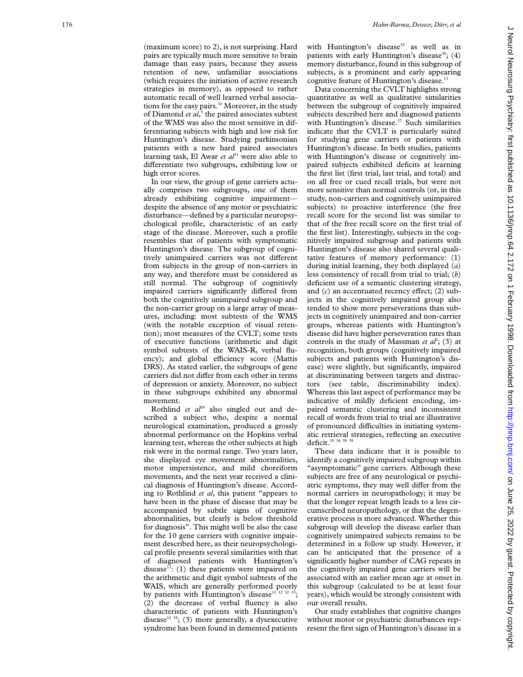(maximum score) to 2), is not surprising. Hard pairs are typically much more sensitive to brain damage than easy pairs, because they assess retention of new, unfamiliar associations (which requires the initiation of active research strategies in memory), as opposed to rather automatic recall of well learned verbal associations for the easy pairs.<sup>30</sup> Moreover, in the study of Diamond *et al*, <sup>5</sup> the paired associates subtest of the WMS was also the most sensitive in differentiating subjects with high and low risk for Huntington's disease. Studying parkinsonian patients with a new hard paired associates learning task, El Awar *et al*<sup>31</sup> were also able to differentiate two subgroups, exhibiting low or high error scores.

In our view, the group of gene carriers actually comprises two subgroups, one of them already exhibiting cognitive impairment despite the absence of any motor or psychiatric disturbance—defined by a particular neuropsychological profile, characteristic of an early stage of the disease. Moreover, such a profile resembles that of patients with symptomatic Huntington's disease. The subgroup of cognitively unimpaired carriers was not different from subjects in the group of non-carriers in any way, and therefore must be considered as still normal. The subgroup of cognitively impaired carriers significantly differed from both the cognitively unimpaired subgroup and the non-carrier group on a large array of measures, including: most subtests of the WMS (with the notable exception of visual retention); most measures of the CVLT; some tests of executive functions (arithmetic and digit symbol subtests of the WAIS-R, verbal fluency); and global efficiency score (Mattis DRS). As stated earlier, the subgroups of gene carriers did not differ from each other in terms of depression or anxiety. Moreover, no subject in these subgroups exhibited any abnormal movement.

Rothlind *et al*<sup>28</sup> also singled out and described a subject who, despite a normal neurological examination, produced a grossly abnormal performance on the Hopkins verbal learning test, whereas the other subjects at high risk were in the normal range. Two years later, she displayed eye movement abnormalities, motor impersistence, and mild choreiform movements, and the next year received a clinical diagnosis of Huntington's disease. According to Rothlind *et al*, this patient "appears to have been in the phase of disease that may be accompanied by subtle signs of cognitive abnormalities, but clearly is below threshold for diagnosis". This might well be also the case for the 10 gene carriers with cognitive impairment described here, as their neuropsychological profile presents several similarities with that of diagnosed patients with Huntington's disease<sup>13</sup>: (1) these patients were impaired on the arithmetic and digit symbol subtests of the WAIS, which are generally performed poorly by patients with Huntington's disease<sup>11 12 32 33</sup>; (2) the decrease of verbal fluency is also characteristic of patients with Huntington's disease<sup>12 34</sup>; (3) more generally, a dysexecutive syndrome has been found in demented patients

with Huntington's disease<sup>35</sup> as well as in patients with early Huntington's disease<sup>36</sup>; (4) memory disturbance, found in this subgroup of subjects, is a prominent and early appearing cognitive feature of Huntington's disease.<sup>13</sup>

Data concerning the CVLT highlights strong quantitative as well as qualitative similarities between the subgroup of cognitively impaired subjects described here and diagnosed patients with Huntington's disease.<sup>37</sup> Such similarities indicate that the CVLT is particularly suited for studying gene carriers or patients with Huntington's disease. In both studies, patients with Huntington's disease or cognitively impaired subjects exhibited deficits at learning the first list (first trial, last trial, and total) and on all free or cued recall trials, but were not more sensitive than normal controls (or, in this study, non-carriers and cognitively unimpaired subjects) to proactive interference (the free recall score for the second list was similar to that of the free recall score on the first trial of the first list). Interestingly, subjects in the cognitively impaired subgroup and patients with Huntington's disease also shared several qualitative features of memory performance: (1) during initial learning, they both displayed ( *a* ) less consistency of recall from trial to trial; ( *b* ) deficient use of a semantic clustering strategy, and  $(c)$  an accentuated recency effect;  $(2)$  subjects in the cognitively impaired group also tended to show more perseverations than subjects in cognitively unimpaired and non-carrier groups, whereas patients with Huntington's disease did have higher perseveration rates than controls in the study of Massman *et al*<sup>2</sup>; (3) at recognition, both groups (cognitively impaired subjects and patients with Huntington's disease) were slightly, but significantly, impaired at discriminating between targets and distractors (see table, discriminability index). Whereas this last aspect of performance may be indicative of mildly deficient encoding, impaired semantic clustering and inconsistent recall of words from trial to trial are illustrative of pronounced difficulties in initiating systematic retrieval strategies, reflecting an executive deficit.<sup>35</sup> 36 38

These data indicate that it is possible to identify a cognitively impaired subgroup within "asymptomatic" gene carriers. Although these subjects are free of any neurological or psychiatric symptoms, they may well differ from the normal carriers in neuropathology; it may be that the longer repeat length leads to a less circumscribed neuropathology, or that the degenerative process is more advanced. Whether this subgroup will develop the disease earlier than cognitively unimpaired subjects remains to be determined in a follow up study. However, it can be anticipated that the presence of a significantly higher number of CAG repeats in the cognitively impaired gene carriers will be associated with an earlier mean age at onset in this subgroup (calculated to be at least four years), which would be strongly consistent with our overall results.

Our study establishes that cognitive changes without motor or psychiatric disturbances represent the first sign of Huntington's disease in a